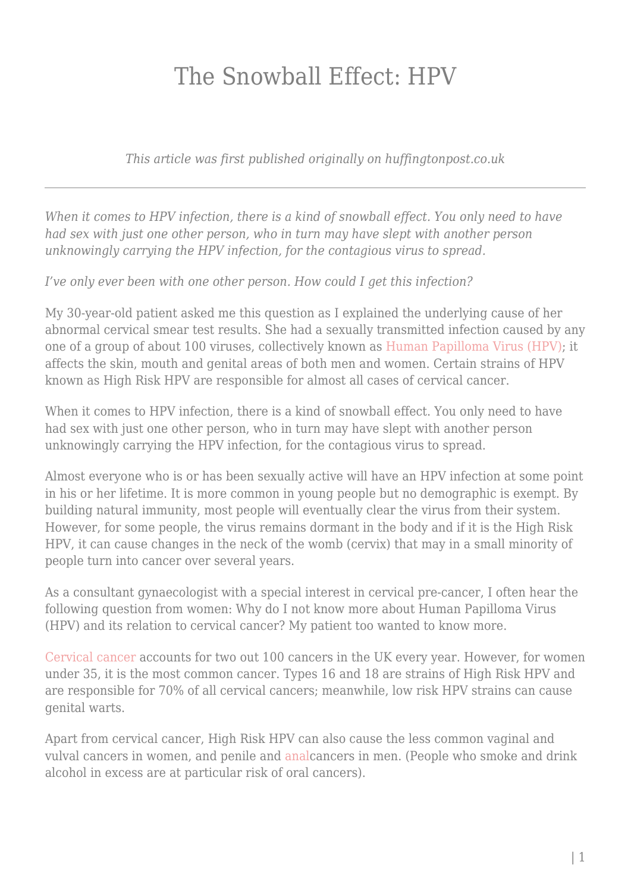## The Snowball Effect: HPV

*This article was first published originally on huffingtonpost.co.uk*

*When it comes to HPV infection, there is a kind of snowball effect. You only need to have had sex with just one other person, who in turn may have slept with another person unknowingly carrying the HPV infection, for the contagious virus to spread.*

*I've only ever been with one other person. How could I get this infection?*

My 30-year-old patient asked me this question as I explained the underlying cause of her abnormal cervical smear test results. She had a sexually transmitted infection caused by any one of a group of about 100 viruses, collectively known as [Human Papilloma Virus \(HPV\)](http://www.nhs.uk/chq/Pages/2611.aspx); it affects the skin, mouth and genital areas of both men and women. Certain strains of HPV known as High Risk HPV are responsible for almost all cases of cervical cancer.

When it comes to HPV infection, there is a kind of snowball effect. You only need to have had sex with just one other person, who in turn may have slept with another person unknowingly carrying the HPV infection, for the contagious virus to spread.

Almost everyone who is or has been sexually active will have an HPV infection at some point in his or her lifetime. It is more common in young people but no demographic is exempt. By building natural immunity, most people will eventually clear the virus from their system. However, for some people, the virus remains dormant in the body and if it is the High Risk HPV, it can cause changes in the neck of the womb (cervix) that may in a small minority of people turn into cancer over several years.

As a consultant gynaecologist with a special interest in cervical pre-cancer, I often hear the following question from women: Why do I not know more about Human Papilloma Virus (HPV) and its relation to cervical cancer? My patient too wanted to know more.

[Cervical cancer a](http://www.cancerresearchuk.org/about-cancer/type/cervical-cancer/about/cervical-cancer-risks-and-causes)ccounts for two out 100 cancers in the UK every year. However, for women under 35, it is the most common cancer. Types 16 and 18 are strains of High Risk HPV and are responsible for 70% of all cervical cancers; meanwhile, low risk HPV strains can cause genital warts.

Apart from cervical cancer, High Risk HPV can also cause the less common vaginal and vulval cancers in women, and penile and [anal](http://www.cancer.org/cancer/analcancer/detailedguide/anal-cancer-risk-factors)cancers in men. (People who smoke and drink alcohol in excess are at particular risk of oral cancers).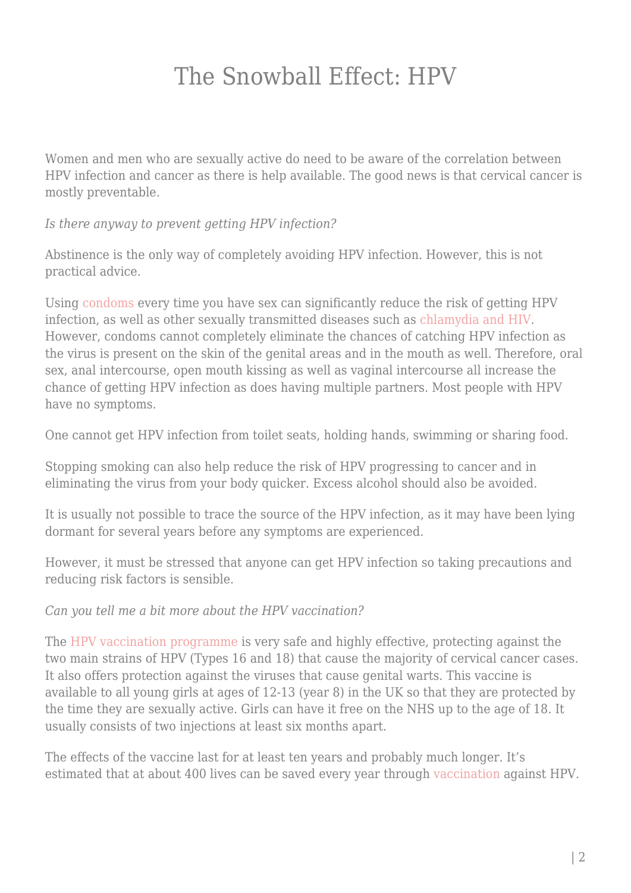### The Snowball Effect: HPV

Women and men who are sexually active do need to be aware of the correlation between HPV infection and cancer as there is help available. The good news is that cervical cancer is mostly preventable.

*Is there anyway to prevent getting HPV infection?*

Abstinence is the only way of completely avoiding HPV infection. However, this is not practical advice.

Using [condoms](http://www.nhs.uk/conditions/contraception-guide/pages/male-condoms.aspx) every time you have sex can significantly reduce the risk of getting HPV infection, as well as other sexually transmitted diseases such as [chlamydia and HIV.](https://www.huffingtonpost.co.uk/dr-nitu-bajekal/christmas-gift_b_8848730.html) However, condoms cannot completely eliminate the chances of catching HPV infection as the virus is present on the skin of the genital areas and in the mouth as well. Therefore, oral sex, anal intercourse, open mouth kissing as well as vaginal intercourse all increase the chance of getting HPV infection as does having multiple partners. Most people with HPV have no symptoms.

One cannot get HPV infection from toilet seats, holding hands, swimming or sharing food.

Stopping smoking can also help reduce the risk of HPV progressing to cancer and in eliminating the virus from your body quicker. Excess alcohol should also be avoided.

It is usually not possible to trace the source of the HPV infection, as it may have been lying dormant for several years before any symptoms are experienced.

However, it must be stressed that anyone can get HPV infection so taking precautions and reducing risk factors is sensible.

*Can you tell me a bit more about the HPV vaccination?*

The [HPV vaccination programme](http://www.nhs.uk/conditions/vaccinations/pages/hpv-human-papillomavirus-vaccine.aspx) is very safe and highly effective, protecting against the two main strains of HPV (Types 16 and 18) that cause the majority of cervical cancer cases. It also offers protection against the viruses that cause genital warts. This vaccine is available to all young girls at ages of 12-13 (year 8) in the UK so that they are protected by the time they are sexually active. Girls can have it free on the NHS up to the age of 18. It usually consists of two injections at least six months apart.

The effects of the vaccine last for at least ten years and probably much longer. It's estimated that at about 400 lives can be saved every year through [vaccination](https://www.rcog.org.uk/en/news/rcog-statement-on-hpv-vaccine-contract/) against HPV.